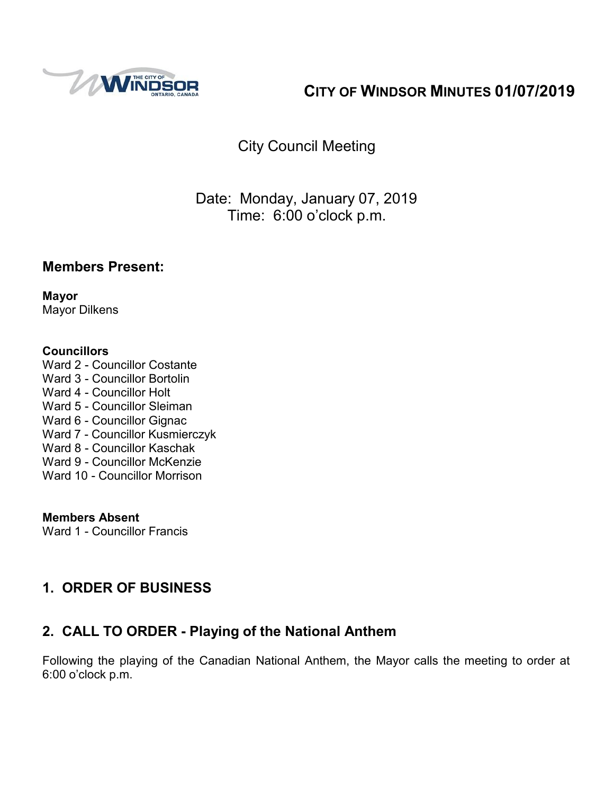

# **CITY OF WINDSOR MINUTES 01/07/2019**

# City Council Meeting

# Date: Monday, January 07, 2019 Time: 6:00 o'clock p.m.

### **Members Present:**

**Mayor** Mayor Dilkens

#### **Councillors**

Ward 2 - Councillor Costante Ward 3 - Councillor Bortolin Ward 4 - Councillor Holt Ward 5 - Councillor Sleiman Ward 6 - Councillor Gignac Ward 7 - Councillor Kusmierczyk Ward 8 - Councillor Kaschak Ward 9 - Councillor McKenzie Ward 10 - Councillor Morrison

#### **Members Absent** Ward 1 - Councillor Francis

# **1. ORDER OF BUSINESS**

# **2. CALL TO ORDER - Playing of the National Anthem**

Following the playing of the Canadian National Anthem, the Mayor calls the meeting to order at 6:00 o'clock p.m.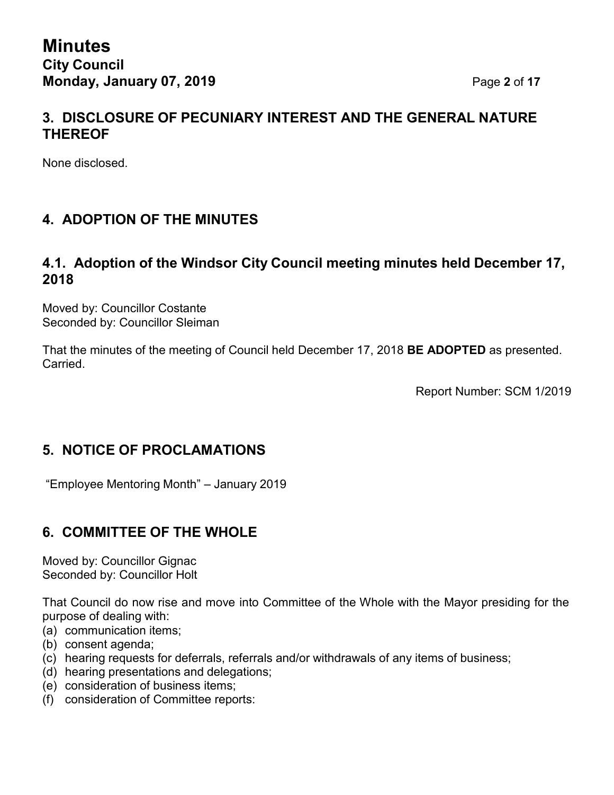## **3. DISCLOSURE OF PECUNIARY INTEREST AND THE GENERAL NATURE THEREOF**

None disclosed.

# **4. ADOPTION OF THE MINUTES**

### **4.1. Adoption of the Windsor City Council meeting minutes held December 17, 2018**

Moved by: Councillor Costante Seconded by: Councillor Sleiman

That the minutes of the meeting of Council held December 17, 2018 **BE ADOPTED** as presented. Carried.

Report Number: SCM 1/2019

## **5. NOTICE OF PROCLAMATIONS**

"Employee Mentoring Month" – January 2019

## **6. COMMITTEE OF THE WHOLE**

Moved by: Councillor Gignac Seconded by: Councillor Holt

That Council do now rise and move into Committee of the Whole with the Mayor presiding for the purpose of dealing with:

- (a) communication items;
- (b) consent agenda;
- (c) hearing requests for deferrals, referrals and/or withdrawals of any items of business;
- (d) hearing presentations and delegations;
- (e) consideration of business items;
- (f) consideration of Committee reports: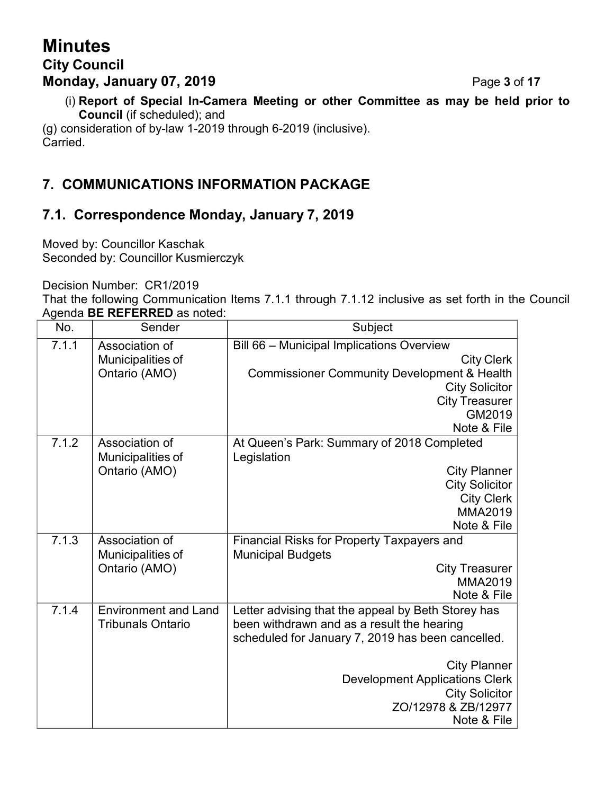# **Minutes City Council Monday, January 07, 2019** Page **3** of **17**

(i) **Report of Special In-Camera Meeting or other Committee as may be held prior to Council** (if scheduled); and

(g) consideration of by-law 1-2019 through 6-2019 (inclusive). Carried.

# **7. COMMUNICATIONS INFORMATION PACKAGE**

# **7.1. Correspondence Monday, January 7, 2019**

Moved by: Councillor Kaschak Seconded by: Councillor Kusmierczyk

Decision Number: CR1/2019

That the following Communication Items 7.1.1 through 7.1.12 inclusive as set forth in the Council Agenda **BE REFERRED** as noted:

| No.   | Sender                                                  | Subject                                                                                                                                                                                                                                                                              |
|-------|---------------------------------------------------------|--------------------------------------------------------------------------------------------------------------------------------------------------------------------------------------------------------------------------------------------------------------------------------------|
| 7.1.1 | Association of<br>Municipalities of<br>Ontario (AMO)    | Bill 66 - Municipal Implications Overview<br><b>City Clerk</b><br><b>Commissioner Community Development &amp; Health</b><br><b>City Solicitor</b><br><b>City Treasurer</b><br>GM2019<br>Note & File                                                                                  |
| 7.1.2 | Association of<br>Municipalities of<br>Ontario (AMO)    | At Queen's Park: Summary of 2018 Completed<br>Legislation<br><b>City Planner</b><br><b>City Solicitor</b><br><b>City Clerk</b><br>MMA2019<br>Note & File                                                                                                                             |
| 7.1.3 | Association of<br>Municipalities of<br>Ontario (AMO)    | <b>Financial Risks for Property Taxpayers and</b><br><b>Municipal Budgets</b><br><b>City Treasurer</b><br><b>MMA2019</b><br>Note & File                                                                                                                                              |
| 7.1.4 | <b>Environment and Land</b><br><b>Tribunals Ontario</b> | Letter advising that the appeal by Beth Storey has<br>been withdrawn and as a result the hearing<br>scheduled for January 7, 2019 has been cancelled.<br><b>City Planner</b><br><b>Development Applications Clerk</b><br><b>City Solicitor</b><br>ZO/12978 & ZB/12977<br>Note & File |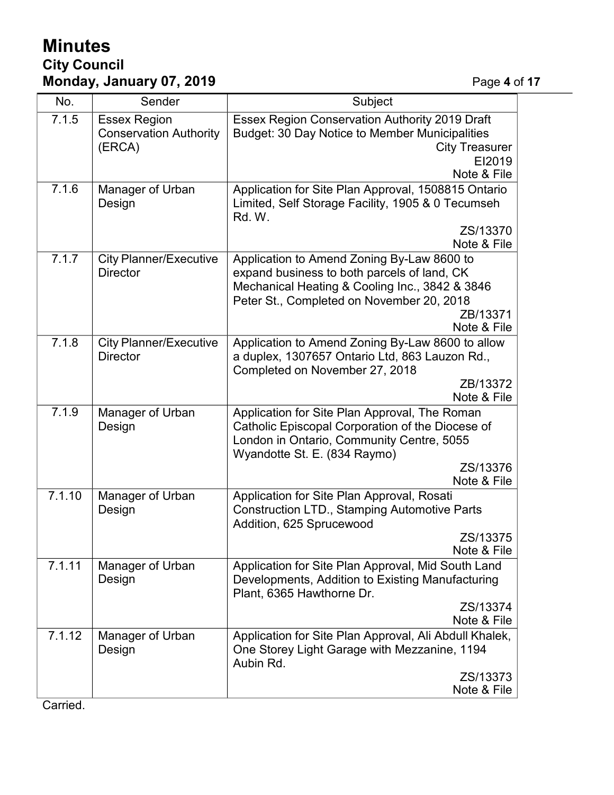# **Minutes City Council Monday, January 07, 2019** Page **4** of **17**

| No.    | Sender                                                         | Subject                                                                                                                                                                                                             |  |  |  |  |  |  |
|--------|----------------------------------------------------------------|---------------------------------------------------------------------------------------------------------------------------------------------------------------------------------------------------------------------|--|--|--|--|--|--|
| 7.1.5  | <b>Essex Region</b><br><b>Conservation Authority</b><br>(ERCA) | <b>Essex Region Conservation Authority 2019 Draft</b><br>Budget: 30 Day Notice to Member Municipalities<br><b>City Treasurer</b><br>EI2019<br>Note & File                                                           |  |  |  |  |  |  |
| 7.1.6  | Manager of Urban<br>Design                                     | Application for Site Plan Approval, 1508815 Ontario<br>Limited, Self Storage Facility, 1905 & 0 Tecumseh<br>Rd. W.                                                                                                  |  |  |  |  |  |  |
|        |                                                                | ZS/13370<br>Note & File                                                                                                                                                                                             |  |  |  |  |  |  |
| 7.1.7  | <b>City Planner/Executive</b><br><b>Director</b>               | Application to Amend Zoning By-Law 8600 to<br>expand business to both parcels of land, CK<br>Mechanical Heating & Cooling Inc., 3842 & 3846<br>Peter St., Completed on November 20, 2018<br>ZB/13371<br>Note & File |  |  |  |  |  |  |
| 7.1.8  | <b>City Planner/Executive</b><br><b>Director</b>               | Application to Amend Zoning By-Law 8600 to allow<br>a duplex, 1307657 Ontario Ltd, 863 Lauzon Rd.,<br>Completed on November 27, 2018<br>ZB/13372                                                                    |  |  |  |  |  |  |
|        |                                                                | Note & File                                                                                                                                                                                                         |  |  |  |  |  |  |
| 7.1.9  | Manager of Urban<br>Design                                     | Application for Site Plan Approval, The Roman<br>Catholic Episcopal Corporation of the Diocese of<br>London in Ontario, Community Centre, 5055<br>Wyandotte St. E. (834 Raymo)<br>ZS/13376<br>Note & File           |  |  |  |  |  |  |
| 7.1.10 | Manager of Urban<br>Design                                     | Application for Site Plan Approval, Rosati<br><b>Construction LTD., Stamping Automotive Parts</b><br>Addition, 625 Sprucewood<br>ZS/13375                                                                           |  |  |  |  |  |  |
| 7.1.11 | Manager of Urban<br>Design                                     | Note & File<br>Application for Site Plan Approval, Mid South Land<br>Developments, Addition to Existing Manufacturing<br>Plant, 6365 Hawthorne Dr.<br>ZS/13374<br>Note & File                                       |  |  |  |  |  |  |
| 7.1.12 | Manager of Urban<br>Design                                     | Application for Site Plan Approval, Ali Abdull Khalek,<br>One Storey Light Garage with Mezzanine, 1194<br>Aubin Rd.<br>ZS/13373<br>Note & File                                                                      |  |  |  |  |  |  |

Carried.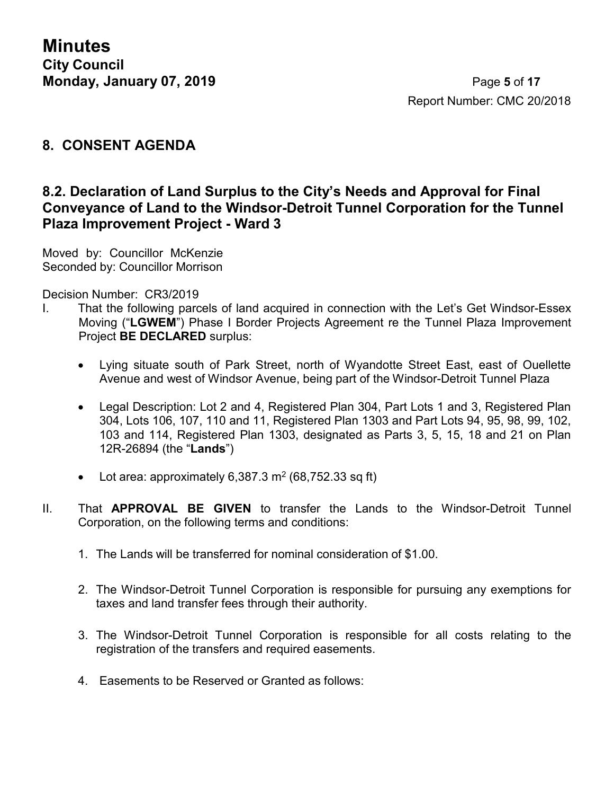**Minutes City Council Monday, January 07, 2019** Page **5** of **17**

#### **8. CONSENT AGENDA**

### **8.2. Declaration of Land Surplus to the City's Needs and Approval for Final Conveyance of Land to the Windsor-Detroit Tunnel Corporation for the Tunnel Plaza Improvement Project - Ward 3**

Moved by: Councillor McKenzie Seconded by: Councillor Morrison

Decision Number: CR3/2019

- I. That the following parcels of land acquired in connection with the Let's Get Windsor-Essex Moving ("**LGWEM**") Phase I Border Projects Agreement re the Tunnel Plaza Improvement Project **BE DECLARED** surplus:
	- Lying situate south of Park Street, north of Wyandotte Street East, east of Ouellette Avenue and west of Windsor Avenue, being part of the Windsor-Detroit Tunnel Plaza
	- Legal Description: Lot 2 and 4, Registered Plan 304, Part Lots 1 and 3, Registered Plan 304, Lots 106, 107, 110 and 11, Registered Plan 1303 and Part Lots 94, 95, 98, 99, 102, 103 and 114, Registered Plan 1303, designated as Parts 3, 5, 15, 18 and 21 on Plan 12R-26894 (the "**Lands**")
	- Lot area: approximately 6,387.3 m<sup>2</sup> (68,752.33 sq ft)
- II. That **APPROVAL BE GIVEN** to transfer the Lands to the Windsor-Detroit Tunnel Corporation, on the following terms and conditions:
	- 1. The Lands will be transferred for nominal consideration of \$1.00.
	- 2. The Windsor-Detroit Tunnel Corporation is responsible for pursuing any exemptions for taxes and land transfer fees through their authority.
	- 3. The Windsor-Detroit Tunnel Corporation is responsible for all costs relating to the registration of the transfers and required easements.
	- 4. Easements to be Reserved or Granted as follows: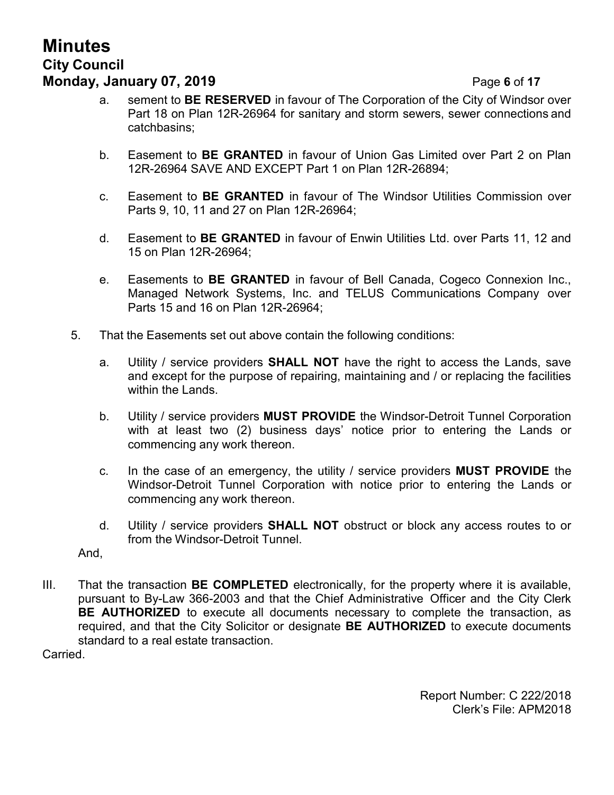# **Minutes City Council Monday, January 07, 2019** Page **6** of **17**

- a. sement to **BE RESERVED** in favour of The Corporation of the City of Windsor over Part 18 on Plan 12R-26964 for sanitary and storm sewers, sewer connections and catchbasins;
- b. Easement to **BE GRANTED** in favour of Union Gas Limited over Part 2 on Plan 12R-26964 SAVE AND EXCEPT Part 1 on Plan 12R-26894;
- c. Easement to **BE GRANTED** in favour of The Windsor Utilities Commission over Parts 9, 10, 11 and 27 on Plan 12R-26964;
- d. Easement to **BE GRANTED** in favour of Enwin Utilities Ltd. over Parts 11, 12 and 15 on Plan 12R-26964;
- e. Easements to **BE GRANTED** in favour of Bell Canada, Cogeco Connexion Inc., Managed Network Systems, Inc. and TELUS Communications Company over Parts 15 and 16 on Plan 12R-26964;
- 5. That the Easements set out above contain the following conditions:
	- a. Utility / service providers **SHALL NOT** have the right to access the Lands, save and except for the purpose of repairing, maintaining and / or replacing the facilities within the Lands.
	- b. Utility / service providers **MUST PROVIDE** the Windsor-Detroit Tunnel Corporation with at least two (2) business days' notice prior to entering the Lands or commencing any work thereon.
	- c. In the case of an emergency, the utility / service providers **MUST PROVIDE** the Windsor-Detroit Tunnel Corporation with notice prior to entering the Lands or commencing any work thereon.
	- d. Utility / service providers **SHALL NOT** obstruct or block any access routes to or from the Windsor-Detroit Tunnel.

And,

III. That the transaction **BE COMPLETED** electronically, for the property where it is available, pursuant to By-Law 366-2003 and that the Chief Administrative Officer and the City Clerk **BE AUTHORIZED** to execute all documents necessary to complete the transaction, as required, and that the City Solicitor or designate **BE AUTHORIZED** to execute documents standard to a real estate transaction.

Carried.

Report Number: C 222/2018 Clerk's File: APM2018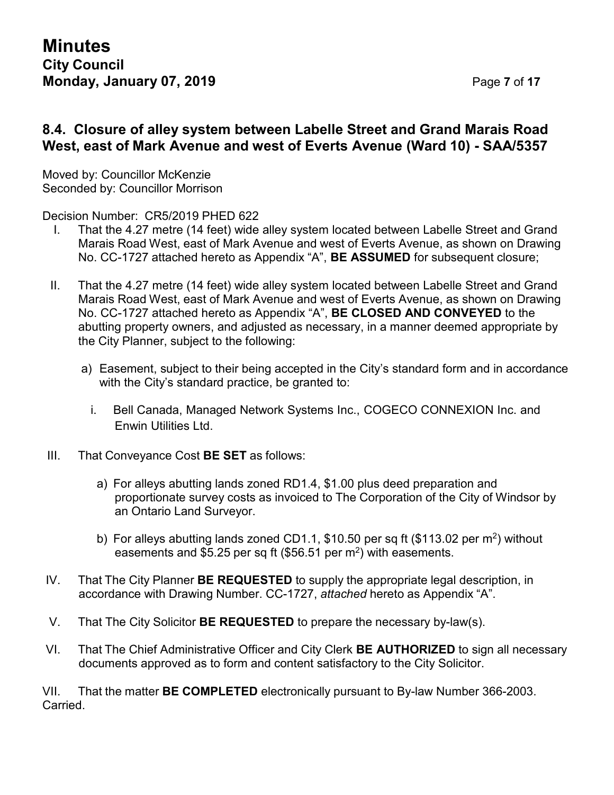### **8.4. Closure of alley system between Labelle Street and Grand Marais Road West, east of Mark Avenue and west of Everts Avenue (Ward 10) - SAA/5357**

Moved by: Councillor McKenzie Seconded by: Councillor Morrison

Decision Number: CR5/2019 PHED 622

- I. That the 4.27 metre (14 feet) wide alley system located between Labelle Street and Grand Marais Road West, east of Mark Avenue and west of Everts Avenue, as shown on Drawing No. CC-1727 attached hereto as Appendix "A", **BE ASSUMED** for subsequent closure;
- II. That the 4.27 metre (14 feet) wide alley system located between Labelle Street and Grand Marais Road West, east of Mark Avenue and west of Everts Avenue, as shown on Drawing No. CC-1727 attached hereto as Appendix "A", **BE CLOSED AND CONVEYED** to the abutting property owners, and adjusted as necessary, in a manner deemed appropriate by the City Planner, subject to the following:
	- a) Easement, subject to their being accepted in the City's standard form and in accordance with the City's standard practice, be granted to:
		- i. Bell Canada, Managed Network Systems Inc., COGECO CONNEXION Inc. and Enwin Utilities Ltd.
- III. That Conveyance Cost **BE SET** as follows:
	- a) For alleys abutting lands zoned RD1.4, \$1.00 plus deed preparation and proportionate survey costs as invoiced to The Corporation of the City of Windsor by an Ontario Land Surveyor.
	- b) For alleys abutting lands zoned CD1.1, \$10.50 per sq ft (\$113.02 per m<sup>2</sup>) without easements and \$5.25 per sq ft (\$56.51 per m<sup>2</sup>) with easements.
- IV. That The City Planner **BE REQUESTED** to supply the appropriate legal description, in accordance with Drawing Number. CC-1727, *attached* hereto as Appendix "A".
- V. That The City Solicitor **BE REQUESTED** to prepare the necessary by-law(s).
- VI. That The Chief Administrative Officer and City Clerk **BE AUTHORIZED** to sign all necessary documents approved as to form and content satisfactory to the City Solicitor.

VII. That the matter **BE COMPLETED** electronically pursuant to By-law Number 366-2003. Carried.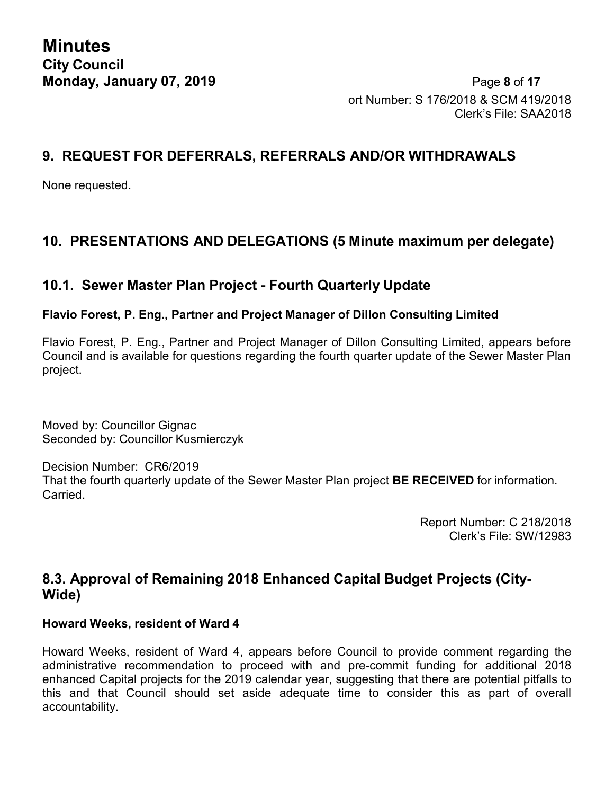**Minutes City Council**

**Monday, January 07, 2019** Page **8** of **17** ort Number: S 176/2018 & SCM 419/2018 Clerk's File: SAA2018

### **9. REQUEST FOR DEFERRALS, REFERRALS AND/OR WITHDRAWALS**

None requested.

# **10. PRESENTATIONS AND DELEGATIONS (5 Minute maximum per delegate)**

## **10.1. Sewer Master Plan Project - Fourth Quarterly Update**

#### **Flavio Forest, P. Eng., Partner and Project Manager of Dillon Consulting Limited**

Flavio Forest, P. Eng., Partner and Project Manager of Dillon Consulting Limited, appears before Council and is available for questions regarding the fourth quarter update of the Sewer Master Plan project.

Moved by: Councillor Gignac Seconded by: Councillor Kusmierczyk

Decision Number: CR6/2019 That the fourth quarterly update of the Sewer Master Plan project **BE RECEIVED** for information. Carried.

> Report Number: C 218/2018 Clerk's File: SW/12983

## **8.3. Approval of Remaining 2018 Enhanced Capital Budget Projects (City-Wide)**

#### **Howard Weeks, resident of Ward 4**

Howard Weeks, resident of Ward 4, appears before Council to provide comment regarding the administrative recommendation to proceed with and pre-commit funding for additional 2018 enhanced Capital projects for the 2019 calendar year, suggesting that there are potential pitfalls to this and that Council should set aside adequate time to consider this as part of overall accountability.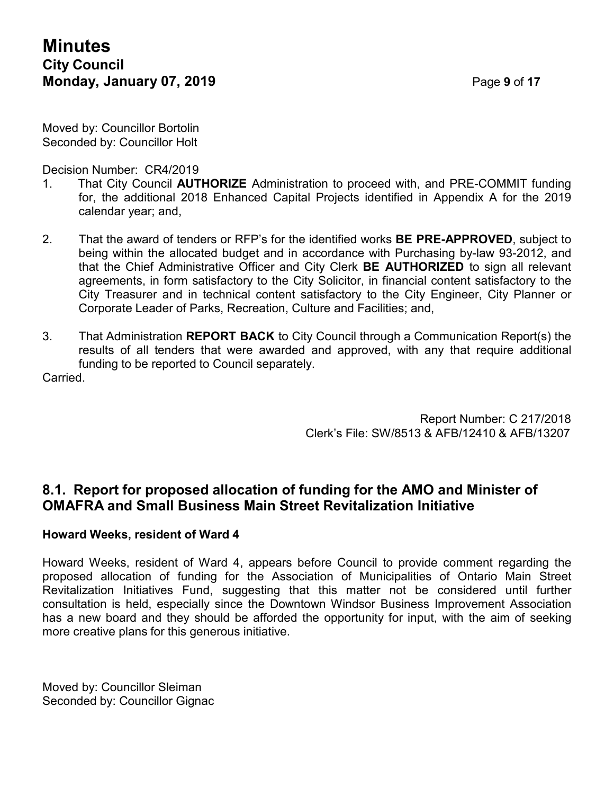Moved by: Councillor Bortolin Seconded by: Councillor Holt

Decision Number: CR4/2019

- 1. That City Council **AUTHORIZE** Administration to proceed with, and PRE-COMMIT funding for, the additional 2018 Enhanced Capital Projects identified in Appendix A for the 2019 calendar year; and,
- 2. That the award of tenders or RFP's for the identified works **BE PRE-APPROVED**, subject to being within the allocated budget and in accordance with Purchasing by-law 93-2012, and that the Chief Administrative Officer and City Clerk **BE AUTHORIZED** to sign all relevant agreements, in form satisfactory to the City Solicitor, in financial content satisfactory to the City Treasurer and in technical content satisfactory to the City Engineer, City Planner or Corporate Leader of Parks, Recreation, Culture and Facilities; and,
- 3. That Administration **REPORT BACK** to City Council through a Communication Report(s) the results of all tenders that were awarded and approved, with any that require additional funding to be reported to Council separately.

**Carried** 

Report Number: C 217/2018 Clerk's File: SW/8513 & AFB/12410 & AFB/13207

#### **8.1. Report for proposed allocation of funding for the AMO and Minister of OMAFRA and Small Business Main Street Revitalization Initiative**

#### **Howard Weeks, resident of Ward 4**

Howard Weeks, resident of Ward 4, appears before Council to provide comment regarding the proposed allocation of funding for the Association of Municipalities of Ontario Main Street Revitalization Initiatives Fund, suggesting that this matter not be considered until further consultation is held, especially since the Downtown Windsor Business Improvement Association has a new board and they should be afforded the opportunity for input, with the aim of seeking more creative plans for this generous initiative.

Moved by: Councillor Sleiman Seconded by: Councillor Gignac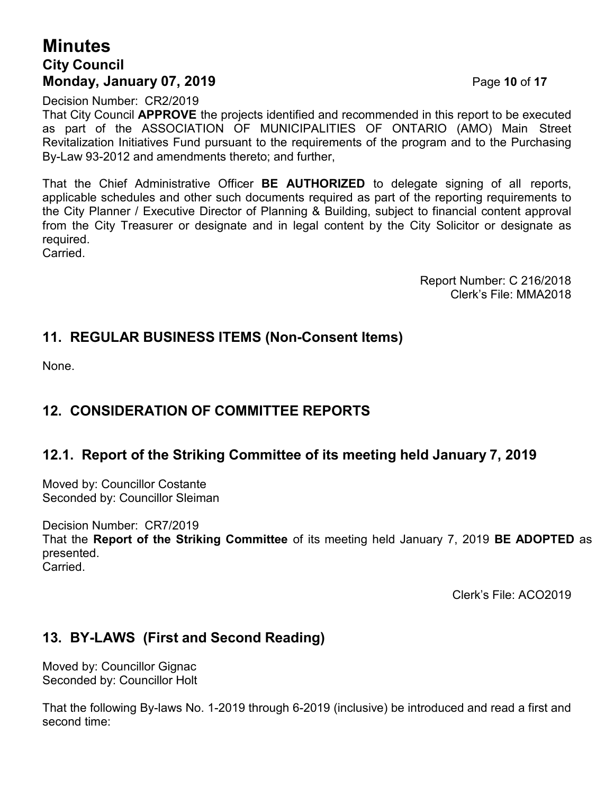# **Minutes City Council Monday, January 07, 2019 Page 10 of 17**

Decision Number: CR2/2019

That City Council **APPROVE** the projects identified and recommended in this report to be executed as part of the ASSOCIATION OF MUNICIPALITIES OF ONTARIO (AMO) Main Street Revitalization Initiatives Fund pursuant to the requirements of the program and to the Purchasing By-Law 93-2012 and amendments thereto; and further,

That the Chief Administrative Officer **BE AUTHORIZED** to delegate signing of all reports, applicable schedules and other such documents required as part of the reporting requirements to the City Planner / Executive Director of Planning & Building, subject to financial content approval from the City Treasurer or designate and in legal content by the City Solicitor or designate as required.

Carried.

Report Number: C 216/2018 Clerk's File: MMA2018

## **11. REGULAR BUSINESS ITEMS (Non-Consent Items)**

None.

## **12. CONSIDERATION OF COMMITTEE REPORTS**

### **12.1. Report of the Striking Committee of its meeting held January 7, 2019**

Moved by: Councillor Costante Seconded by: Councillor Sleiman

Decision Number: CR7/2019 That the **Report of the Striking Committee** of its meeting held January 7, 2019 **BE ADOPTED** as presented. Carried.

Clerk's File: ACO2019

## **13. BY-LAWS (First and Second Reading)**

Moved by: Councillor Gignac Seconded by: Councillor Holt

That the following By-laws No. 1-2019 through 6-2019 (inclusive) be introduced and read a first and second time: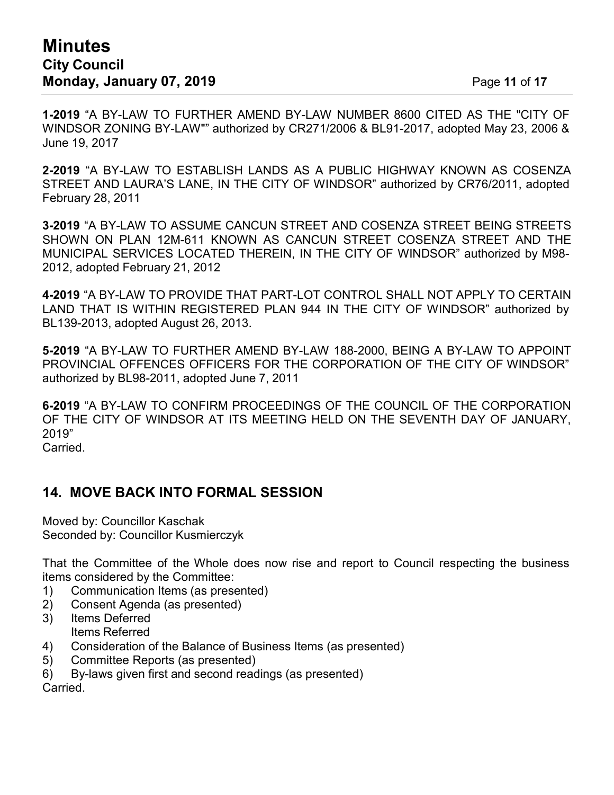**1-2019** "A BY-LAW TO FURTHER AMEND BY-LAW NUMBER 8600 CITED AS THE "CITY OF WINDSOR ZONING BY-LAW"" authorized by CR271/2006 & BL91-2017, adopted May 23, 2006 & June 19, 2017

**2-2019** "A BY-LAW TO ESTABLISH LANDS AS A PUBLIC HIGHWAY KNOWN AS COSENZA STREET AND LAURA'S LANE, IN THE CITY OF WINDSOR" authorized by CR76/2011, adopted February 28, 2011

**3-2019** "A BY-LAW TO ASSUME CANCUN STREET AND COSENZA STREET BEING STREETS SHOWN ON PLAN 12M-611 KNOWN AS CANCUN STREET COSENZA STREET AND THE MUNICIPAL SERVICES LOCATED THEREIN, IN THE CITY OF WINDSOR" authorized by M98- 2012, adopted February 21, 2012

**4-2019** "A BY-LAW TO PROVIDE THAT PART-LOT CONTROL SHALL NOT APPLY TO CERTAIN LAND THAT IS WITHIN REGISTERED PLAN 944 IN THE CITY OF WINDSOR" authorized by BL139-2013, adopted August 26, 2013.

**5-2019** "A BY-LAW TO FURTHER AMEND BY-LAW 188-2000, BEING A BY-LAW TO APPOINT PROVINCIAL OFFENCES OFFICERS FOR THE CORPORATION OF THE CITY OF WINDSOR" authorized by BL98-2011, adopted June 7, 2011

**6-2019** "A BY-LAW TO CONFIRM PROCEEDINGS OF THE COUNCIL OF THE CORPORATION OF THE CITY OF WINDSOR AT ITS MEETING HELD ON THE SEVENTH DAY OF JANUARY, 2019" Carried.

## **14. MOVE BACK INTO FORMAL SESSION**

Moved by: Councillor Kaschak Seconded by: Councillor Kusmierczyk

That the Committee of the Whole does now rise and report to Council respecting the business items considered by the Committee:

- 1) Communication Items (as presented)
- 2) Consent Agenda (as presented)
- 3) Items Deferred Items Referred
- 4) Consideration of the Balance of Business Items (as presented)
- 5) Committee Reports (as presented)
- 6) By-laws given first and second readings (as presented)

Carried.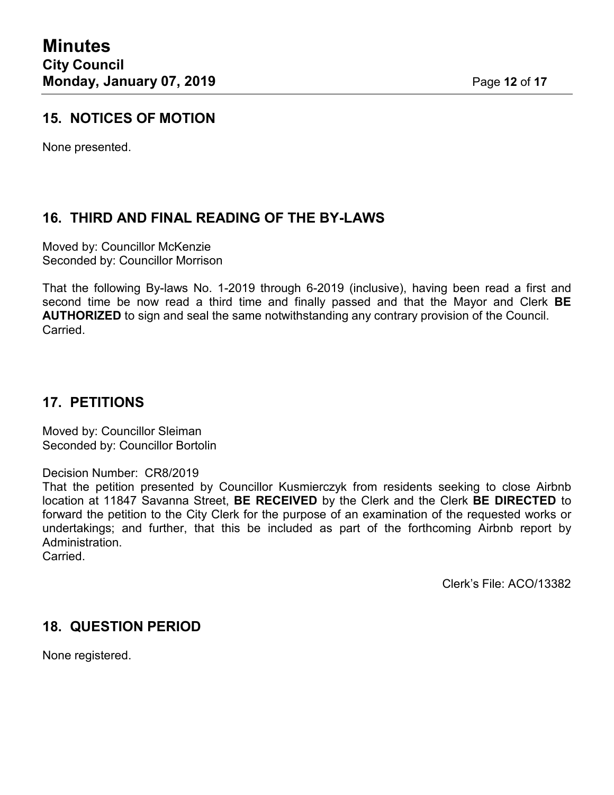### **15. NOTICES OF MOTION**

None presented.

### **16. THIRD AND FINAL READING OF THE BY-LAWS**

Moved by: Councillor McKenzie Seconded by: Councillor Morrison

That the following By-laws No. 1-2019 through 6-2019 (inclusive), having been read a first and second time be now read a third time and finally passed and that the Mayor and Clerk **BE AUTHORIZED** to sign and seal the same notwithstanding any contrary provision of the Council. Carried.

### **17. PETITIONS**

Moved by: Councillor Sleiman Seconded by: Councillor Bortolin

Decision Number: CR8/2019

That the petition presented by Councillor Kusmierczyk from residents seeking to close Airbnb location at 11847 Savanna Street, **BE RECEIVED** by the Clerk and the Clerk **BE DIRECTED** to forward the petition to the City Clerk for the purpose of an examination of the requested works or undertakings; and further, that this be included as part of the forthcoming Airbnb report by Administration.

**Carried** 

Clerk's File: ACO/13382

#### **18. QUESTION PERIOD**

None registered.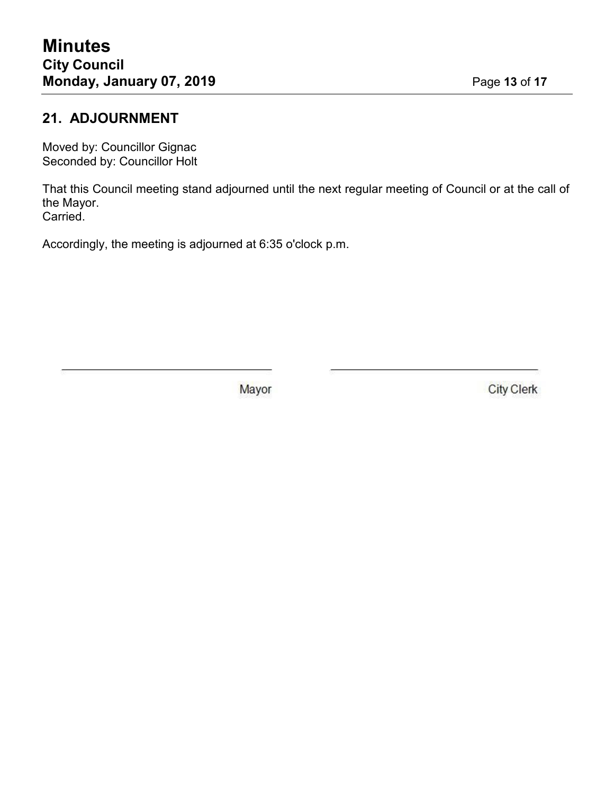## **21. ADJOURNMENT**

Moved by: Councillor Gignac Seconded by: Councillor Holt

That this Council meeting stand adjourned until the next regular meeting of Council or at the call of the Mayor. Carried.

Accordingly, the meeting is adjourned at 6:35 o'clock p.m.

Mayor

**City Clerk**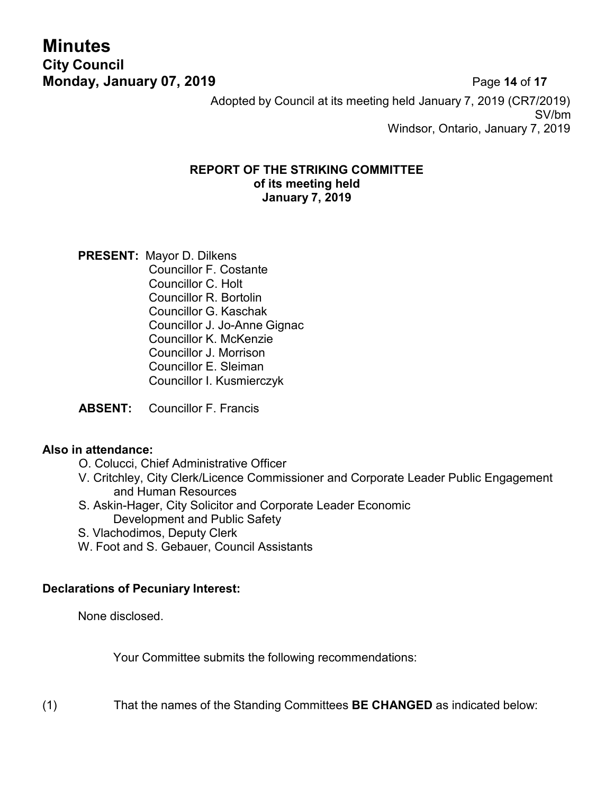**Minutes City Council Monday, January 07, 2019 Page 14 of 17** 

Adopted by Council at its meeting held January 7, 2019 (CR7/2019) SV/bm Windsor, Ontario, January 7, 2019

#### **REPORT OF THE STRIKING COMMITTEE of its meeting held January 7, 2019**

**PRESENT:** Mayor D. Dilkens Councillor F. Costante Councillor C. Holt Councillor R. Bortolin Councillor G. Kaschak Councillor J. Jo-Anne Gignac Councillor K. McKenzie Councillor J. Morrison Councillor E. Sleiman Councillor I. Kusmierczyk

**ABSENT:** Councillor F. Francis

#### **Also in attendance:**

- O. Colucci, Chief Administrative Officer
- V. Critchley, City Clerk/Licence Commissioner and Corporate Leader Public Engagement and Human Resources
- S. Askin-Hager, City Solicitor and Corporate Leader Economic Development and Public Safety
- S. Vlachodimos, Deputy Clerk
- W. Foot and S. Gebauer, Council Assistants

#### **Declarations of Pecuniary Interest:**

None disclosed.

Your Committee submits the following recommendations:

(1) That the names of the Standing Committees **BE CHANGED** as indicated below: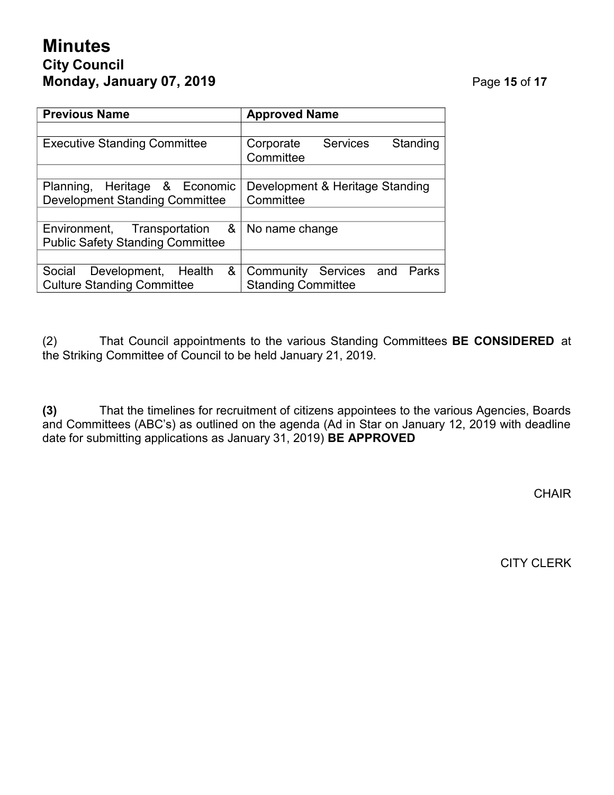# **Minutes City Council Monday, January 07, 2019 Page 15 of 17**

| <b>Previous Name</b>                                                        | <b>Approved Name</b>                                         |  |  |  |  |  |  |
|-----------------------------------------------------------------------------|--------------------------------------------------------------|--|--|--|--|--|--|
|                                                                             |                                                              |  |  |  |  |  |  |
| <b>Executive Standing Committee</b>                                         | <b>Services</b><br>Standing<br>Corporate<br>Committee        |  |  |  |  |  |  |
|                                                                             |                                                              |  |  |  |  |  |  |
| Heritage & Economic<br>Planning,<br><b>Development Standing Committee</b>   | Development & Heritage Standing<br>Committee                 |  |  |  |  |  |  |
|                                                                             |                                                              |  |  |  |  |  |  |
| &<br>Environment, Transportation<br><b>Public Safety Standing Committee</b> | No name change                                               |  |  |  |  |  |  |
|                                                                             |                                                              |  |  |  |  |  |  |
| &<br>Social<br>Development, Health<br><b>Culture Standing Committee</b>     | Community Services and<br>Parks<br><b>Standing Committee</b> |  |  |  |  |  |  |

(2) That Council appointments to the various Standing Committees **BE CONSIDERED** at the Striking Committee of Council to be held January 21, 2019.

**(3)** That the timelines for recruitment of citizens appointees to the various Agencies, Boards and Committees (ABC's) as outlined on the agenda (Ad in Star on January 12, 2019 with deadline date for submitting applications as January 31, 2019) **BE APPROVED**

**CHAIR** 

CITY CLERK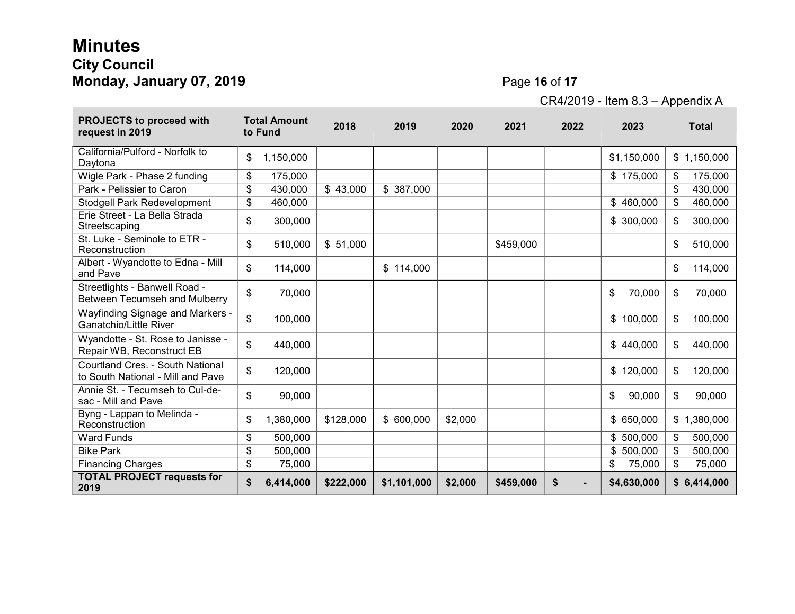# **Minutes City Council Monday, January 07, 2019 Page 16** of 17

**Contract** 

CR4/2019 - Item 8.3 – Appendix A

| <b>PROJECTS to proceed with</b><br>request in 2019                    |    | <b>Total Amount</b><br>to Fund | 2018      | 2019        | 2020    | 2021      | 2022 | 2023         | <b>Total</b>  |
|-----------------------------------------------------------------------|----|--------------------------------|-----------|-------------|---------|-----------|------|--------------|---------------|
| California/Pulford - Norfolk to<br>Daytona                            | \$ | 1,150,000                      |           |             |         |           |      | \$1,150,000  | \$1,150,000   |
| Wigle Park - Phase 2 funding                                          |    | 175,000                        |           |             |         |           |      | \$175,000    | \$<br>175,000 |
| Park - Pelissier to Caron                                             |    | 430,000                        | \$43,000  | \$387,000   |         |           |      |              | \$<br>430,000 |
| <b>Stodgell Park Redevelopment</b>                                    |    | 460,000                        |           |             |         |           |      | \$460,000    | \$<br>460,000 |
| Erie Street - La Bella Strada<br>Streetscaping                        | \$ | 300,000                        |           |             |         |           |      | \$300,000    | \$<br>300,000 |
| St. Luke - Seminole to ETR -<br>Reconstruction                        | \$ | 510,000                        | \$51,000  |             |         | \$459,000 |      |              | \$<br>510,000 |
| Albert - Wyandotte to Edna - Mill<br>and Pave                         | \$ | 114,000                        |           | \$114,000   |         |           |      |              | \$<br>114,000 |
| Streetlights - Banwell Road -<br><b>Between Tecumseh and Mulberry</b> | \$ | 70,000                         |           |             |         |           |      | \$<br>70,000 | \$<br>70,000  |
| Wayfinding Signage and Markers -<br><b>Ganatchio/Little River</b>     | \$ | 100,000                        |           |             |         |           |      | \$100,000    | \$<br>100,000 |
| Wyandotte - St. Rose to Janisse -<br>Repair WB, Reconstruct EB        | \$ | 440,000                        |           |             |         |           |      | \$440,000    | \$<br>440,000 |
| Courtland Cres. - South National<br>to South National - Mill and Pave | \$ | 120,000                        |           |             |         |           |      | \$120,000    | \$<br>120,000 |
| Annie St. - Tecumseh to Cul-de-<br>sac - Mill and Pave                | \$ | 90,000                         |           |             |         |           |      | \$<br>90,000 | \$<br>90,000  |
| Byng - Lappan to Melinda -<br>Reconstruction                          | \$ | 1,380,000                      | \$128,000 | \$600,000   | \$2,000 |           |      | \$650,000    | \$1,380,000   |
| <b>Ward Funds</b>                                                     | \$ | 500,000                        |           |             |         |           |      | \$500,000    | \$<br>500,000 |
| <b>Bike Park</b>                                                      | \$ | 500,000                        |           |             |         |           |      | \$500,000    | \$<br>500,000 |
| <b>Financing Charges</b>                                              | \$ | 75,000                         |           |             |         |           |      | \$<br>75,000 | \$<br>75,000  |
| <b>TOTAL PROJECT requests for</b><br>2019                             |    | 6,414,000                      | \$222,000 | \$1,101,000 | \$2,000 | \$459,000 | \$   | \$4,630,000  | \$6,414,000   |